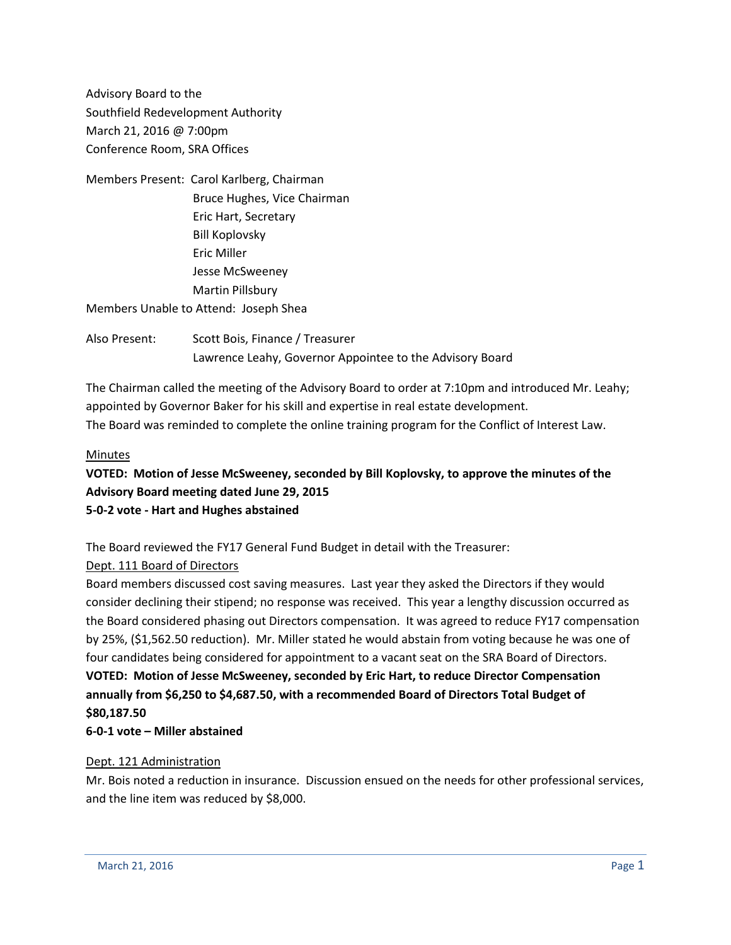Advisory Board to the Southfield Redevelopment Authority March 21, 2016 @ 7:00pm Conference Room, SRA Offices

Members Present: Carol Karlberg, Chairman Bruce Hughes, Vice Chairman Eric Hart, Secretary Bill Koplovsky Eric Miller Jesse McSweeney Martin Pillsbury Members Unable to Attend: Joseph Shea

Also Present: Scott Bois, Finance / Treasurer Lawrence Leahy, Governor Appointee to the Advisory Board

The Chairman called the meeting of the Advisory Board to order at 7:10pm and introduced Mr. Leahy; appointed by Governor Baker for his skill and expertise in real estate development. The Board was reminded to complete the online training program for the Conflict of Interest Law.

#### Minutes

**VOTED: Motion of Jesse McSweeney, seconded by Bill Koplovsky, to approve the minutes of the Advisory Board meeting dated June 29, 2015 5-0-2 vote - Hart and Hughes abstained**

The Board reviewed the FY17 General Fund Budget in detail with the Treasurer:

### Dept. 111 Board of Directors

Board members discussed cost saving measures. Last year they asked the Directors if they would consider declining their stipend; no response was received. This year a lengthy discussion occurred as the Board considered phasing out Directors compensation. It was agreed to reduce FY17 compensation by 25%, (\$1,562.50 reduction). Mr. Miller stated he would abstain from voting because he was one of four candidates being considered for appointment to a vacant seat on the SRA Board of Directors. **VOTED: Motion of Jesse McSweeney, seconded by Eric Hart, to reduce Director Compensation annually from \$6,250 to \$4,687.50, with a recommended Board of Directors Total Budget of \$80,187.50**

## **6-0-1 vote – Miller abstained**

#### Dept. 121 Administration

Mr. Bois noted a reduction in insurance. Discussion ensued on the needs for other professional services, and the line item was reduced by \$8,000.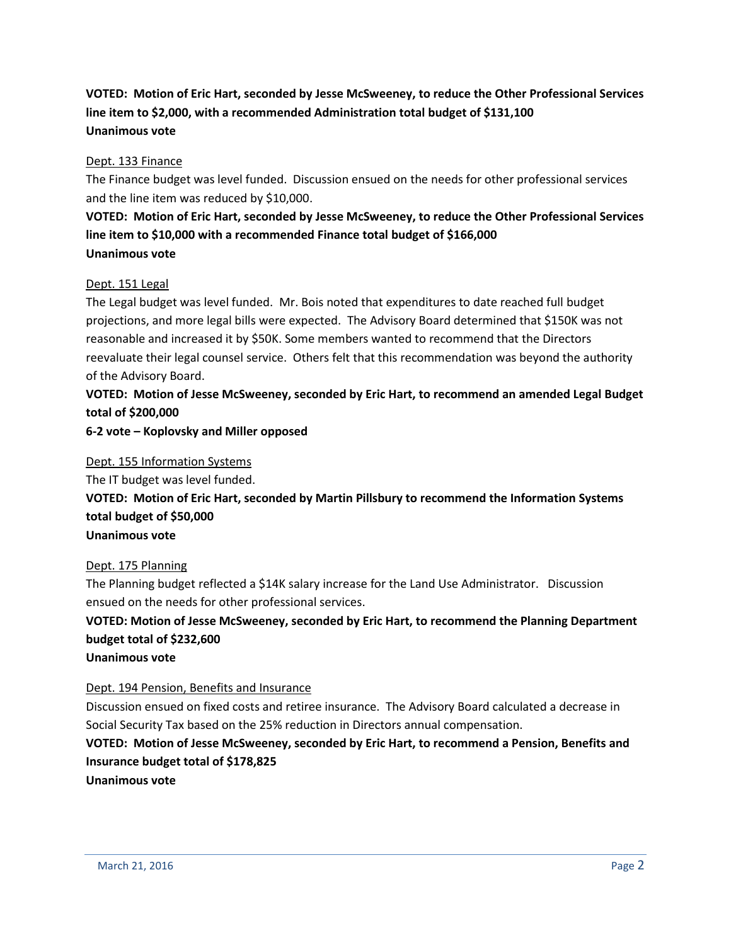# **VOTED: Motion of Eric Hart, seconded by Jesse McSweeney, to reduce the Other Professional Services line item to \$2,000, with a recommended Administration total budget of \$131,100 Unanimous vote**

#### Dept. 133 Finance

The Finance budget was level funded. Discussion ensued on the needs for other professional services and the line item was reduced by \$10,000.

# **VOTED: Motion of Eric Hart, seconded by Jesse McSweeney, to reduce the Other Professional Services line item to \$10,000 with a recommended Finance total budget of \$166,000 Unanimous vote**

#### Dept. 151 Legal

The Legal budget was level funded. Mr. Bois noted that expenditures to date reached full budget projections, and more legal bills were expected. The Advisory Board determined that \$150K was not reasonable and increased it by \$50K. Some members wanted to recommend that the Directors reevaluate their legal counsel service. Others felt that this recommendation was beyond the authority of the Advisory Board.

# **VOTED: Motion of Jesse McSweeney, seconded by Eric Hart, to recommend an amended Legal Budget total of \$200,000**

#### **6-2 vote – Koplovsky and Miller opposed**

#### Dept. 155 Information Systems

The IT budget was level funded.

**VOTED: Motion of Eric Hart, seconded by Martin Pillsbury to recommend the Information Systems total budget of \$50,000**

#### **Unanimous vote**

#### Dept. 175 Planning

The Planning budget reflected a \$14K salary increase for the Land Use Administrator. Discussion ensued on the needs for other professional services.

# **VOTED: Motion of Jesse McSweeney, seconded by Eric Hart, to recommend the Planning Department budget total of \$232,600**

#### **Unanimous vote**

### Dept. 194 Pension, Benefits and Insurance

Discussion ensued on fixed costs and retiree insurance. The Advisory Board calculated a decrease in Social Security Tax based on the 25% reduction in Directors annual compensation.

# **VOTED: Motion of Jesse McSweeney, seconded by Eric Hart, to recommend a Pension, Benefits and Insurance budget total of \$178,825**

**Unanimous vote**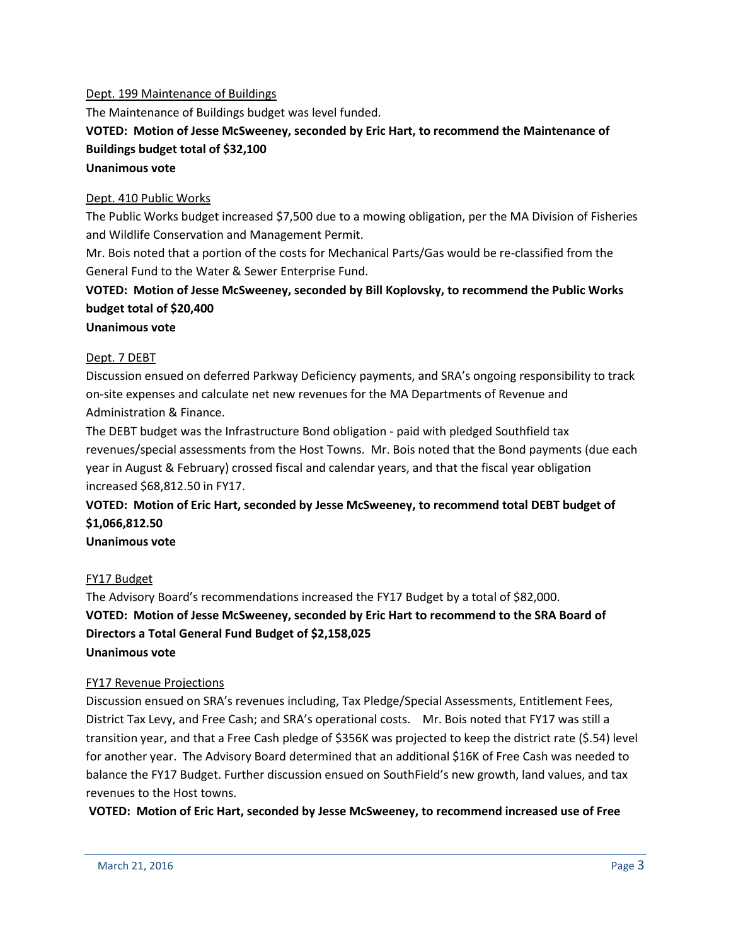#### Dept. 199 Maintenance of Buildings

The Maintenance of Buildings budget was level funded.

## **VOTED: Motion of Jesse McSweeney, seconded by Eric Hart, to recommend the Maintenance of Buildings budget total of \$32,100 Unanimous vote**

#### Dept. 410 Public Works

The Public Works budget increased \$7,500 due to a mowing obligation, per the MA Division of Fisheries and Wildlife Conservation and Management Permit.

Mr. Bois noted that a portion of the costs for Mechanical Parts/Gas would be re-classified from the General Fund to the Water & Sewer Enterprise Fund.

# **VOTED: Motion of Jesse McSweeney, seconded by Bill Koplovsky, to recommend the Public Works budget total of \$20,400**

#### **Unanimous vote**

### Dept. 7 DEBT

Discussion ensued on deferred Parkway Deficiency payments, and SRA's ongoing responsibility to track on-site expenses and calculate net new revenues for the MA Departments of Revenue and Administration & Finance.

The DEBT budget was the Infrastructure Bond obligation - paid with pledged Southfield tax revenues/special assessments from the Host Towns. Mr. Bois noted that the Bond payments (due each year in August & February) crossed fiscal and calendar years, and that the fiscal year obligation increased \$68,812.50 in FY17.

# **VOTED: Motion of Eric Hart, seconded by Jesse McSweeney, to recommend total DEBT budget of \$1,066,812.50**

### **Unanimous vote**

### FY17 Budget

The Advisory Board's recommendations increased the FY17 Budget by a total of \$82,000. **VOTED: Motion of Jesse McSweeney, seconded by Eric Hart to recommend to the SRA Board of Directors a Total General Fund Budget of \$2,158,025 Unanimous vote**

#### FY17 Revenue Projections

Discussion ensued on SRA's revenues including, Tax Pledge/Special Assessments, Entitlement Fees, District Tax Levy, and Free Cash; and SRA's operational costs. Mr. Bois noted that FY17 was still a transition year, and that a Free Cash pledge of \$356K was projected to keep the district rate (\$.54) level for another year. The Advisory Board determined that an additional \$16K of Free Cash was needed to balance the FY17 Budget. Further discussion ensued on SouthField's new growth, land values, and tax revenues to the Host towns.

**VOTED: Motion of Eric Hart, seconded by Jesse McSweeney, to recommend increased use of Free**